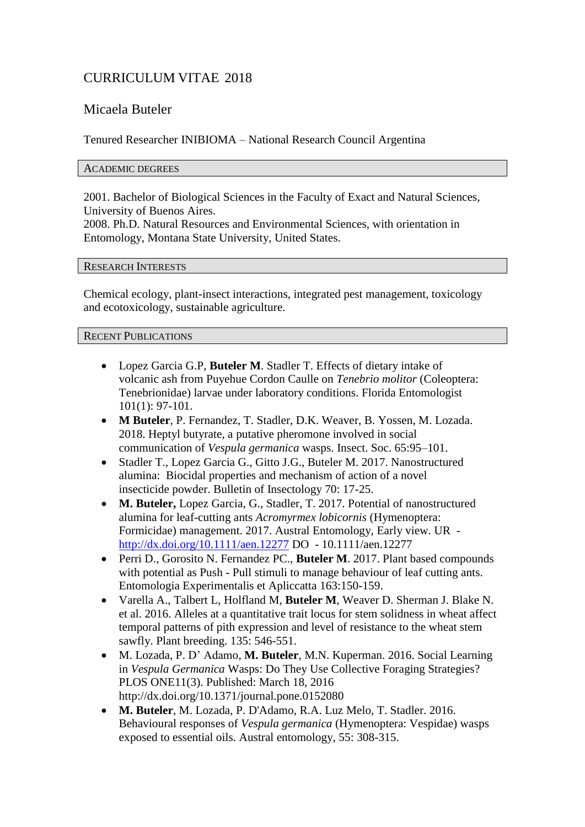# CURRICULUM VITAE 2018

# Micaela Buteler

Tenured Researcher INIBIOMA – National Research Council Argentina

# ACADEMIC DEGREES

2001. Bachelor of Biological Sciences in the Faculty of Exact and Natural Sciences, University of Buenos Aires.

2008. Ph.D. Natural Resources and Environmental Sciences, with orientation in Entomology, Montana State University, United States.

# RESEARCH INTERESTS

Chemical ecology, plant-insect interactions, integrated pest management, toxicology and ecotoxicology, sustainable agriculture.

RECENT PUBLICATIONS

- Lopez Garcia G.P, **Buteler M**. Stadler T. Effects of dietary intake of volcanic ash from Puyehue Cordon Caulle on *Tenebrio molitor* (Coleoptera: Tenebrionidae) larvae under laboratory conditions. Florida Entomologist 101(1): 97-101.
- **M Buteler**, P. Fernandez, T. Stadler, D.K. Weaver, B. Yossen, M. Lozada. 2018. Heptyl butyrate, a putative pheromone involved in social communication of *Vespula germanica* wasps. Insect. Soc. 65:95–101.
- Stadler T., Lopez Garcia G., Gitto J.G., Buteler M. 2017. Nanostructured alumina: Biocidal properties and mechanism of action of a novel insecticide powder. Bulletin of Insectology 70: 17-25.
- **M. Buteler,** Lopez Garcia, G., Stadler, T. 2017. Potential of nanostructured alumina for leaf-cutting ants *Acromyrmex lobicornis* (Hymenoptera: Formicidae) management. 2017. Austral Entomology, Early view. UR <http://dx.doi.org/10.1111/aen.12277> DO - 10.1111/aen.12277
- Perri D., Gorosito N. Fernandez PC., **Buteler M**. 2017. Plant based compounds with potential as Push - Pull stimuli to manage behaviour of leaf cutting ants. Entomologia Experimentalis et Apliccatta 163:150-159.
- Varella A., Talbert L, Holfland M, **Buteler M**, Weaver D. Sherman J. Blake N. et al. 2016. Alleles at a quantitative trait locus for stem solidness in wheat affect temporal patterns of pith expression and level of resistance to the wheat stem sawfly. Plant breeding. 135: 546-551.
- M. Lozada, P. D' Adamo, **M. Buteler**, M.N. Kuperman. 2016. Social Learning in *Vespula Germanica* Wasps: Do They Use Collective Foraging Strategies? PLOS ONE11(3). Published: March 18, 2016 <http://dx.doi.org/10.1371/journal.pone.0152080>
- **M. Buteler**, M. Lozada, P. D'Adamo, R.A. Luz Melo, T. Stadler. 2016. Behavioural responses of *Vespula germanica* (Hymenoptera: Vespidae) wasps exposed to essential oils. Austral entomology, 55: 308-315.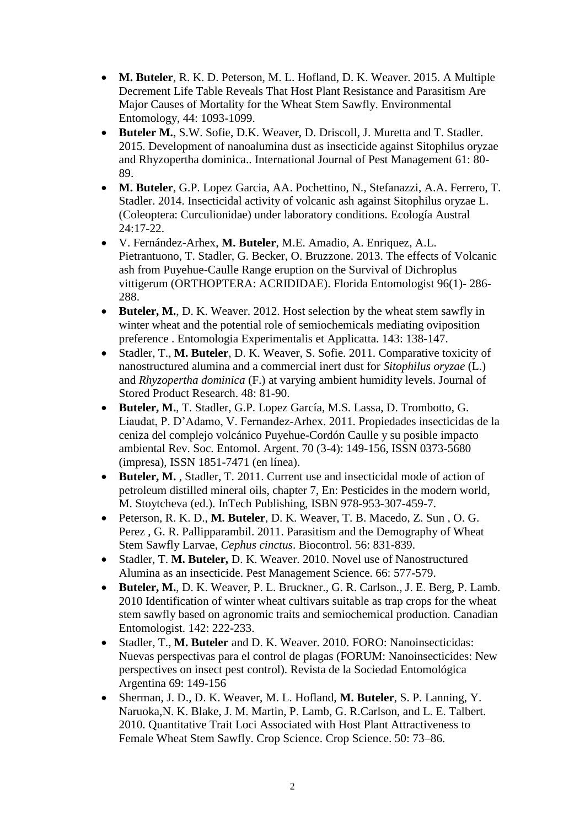- **M. Buteler**, R. K. D. Peterson, M. L. Hofland, D. K. Weaver. 2015. A Multiple Decrement Life Table Reveals That Host Plant Resistance and Parasitism Are Major Causes of Mortality for the Wheat Stem Sawfly. Environmental Entomology, 44: 1093-1099.
- **Buteler M.**, S.W. Sofie, D.K. Weaver, D. Driscoll, J. Muretta and T. Stadler. 2015. Development of nanoalumina dust as insecticide against Sitophilus oryzae and Rhyzopertha dominica.. International Journal of Pest Management 61: 80- 89.
- **M. Buteler**, G.P. Lopez Garcia, AA. Pochettino, N., Stefanazzi, A.A. Ferrero, T. Stadler. 2014. Insecticidal activity of volcanic ash against Sitophilus oryzae L. (Coleoptera: Curculionidae) under laboratory conditions. Ecología Austral 24:17-22.
- V. Fernández-Arhex, **M. Buteler**, M.E. Amadio, A. Enriquez, A.L. Pietrantuono, T. Stadler, G. Becker, O. Bruzzone. 2013. The effects of Volcanic ash from Puyehue-Caulle Range eruption on the Survival of Dichroplus vittigerum (ORTHOPTERA: ACRIDIDAE). Florida Entomologist 96(1)- 286- 288.
- **Buteler, M.**, D. K. Weaver. 2012. Host selection by the wheat stem sawfly in winter wheat and the potential role of semiochemicals mediating oviposition preference . Entomologia Experimentalis et Applicatta. 143: 138-147.
- Stadler, T., **M. Buteler**, D. K. Weaver, S. Sofie. 2011. Comparative toxicity of nanostructured alumina and a commercial inert dust for *Sitophilus oryzae* (L.) and *Rhyzopertha dominica* (F.) at varying ambient humidity levels. Journal of Stored Product Research. 48: 81-90.
- **Buteler, M.**, T. Stadler, G.P. Lopez García, M.S. Lassa, D. Trombotto, G. Liaudat, P. D'Adamo, V. Fernandez-Arhex. 2011. Propiedades insecticidas de la ceniza del complejo volcánico Puyehue-Cordón Caulle y su posible impacto ambiental Rev. Soc. Entomol. Argent. 70 (3-4): 149-156, ISSN 0373-5680 (impresa), ISSN 1851-7471 (en línea).
- **Buteler, M.** , Stadler, T. 2011. Current use and insecticidal mode of action of petroleum distilled mineral oils, chapter 7, En: Pesticides in the modern world, M. Stoytcheva (ed.). InTech Publishing, ISBN 978-953-307-459-7.
- Peterson, R. K. D., **M. Buteler**, D. K. Weaver, T. B. Macedo, Z. Sun , O. G. Perez , G. R. Pallipparambil. 2011. Parasitism and the Demography of Wheat Stem Sawfly Larvae, *Cephus cinctus*. Biocontrol. 56: 831-839.
- Stadler, T. **M. Buteler,** D. K. Weaver. 2010. Novel use of Nanostructured Alumina as an insecticide. Pest Management Science. 66: 577-579.
- **Buteler, M.**, D. K. Weaver, P. L. Bruckner., G. R. Carlson., J. E. Berg, P. Lamb. 2010 Identification of winter wheat cultivars suitable as trap crops for the wheat stem sawfly based on agronomic traits and semiochemical production. Canadian Entomologist. 142: 222-233.
- Stadler, T., **M. Buteler** and D. K. Weaver. 2010. FORO: Nanoinsecticidas: Nuevas perspectivas para el control de plagas (FORUM: Nanoinsecticides: New perspectives on insect pest control). Revista de la Sociedad Entomológica Argentina 69: 149-156
- Sherman, J. D., D. K. Weaver, M. L. Hofland, **M. Buteler**, S. P. Lanning, Y. Naruoka,N. K. Blake, J. M. Martin, P. Lamb, G. R.Carlson, and L. E. Talbert. 2010. Quantitative Trait Loci Associated with Host Plant Attractiveness to Female Wheat Stem Sawfly. Crop Science. Crop Science. 50: 73–86.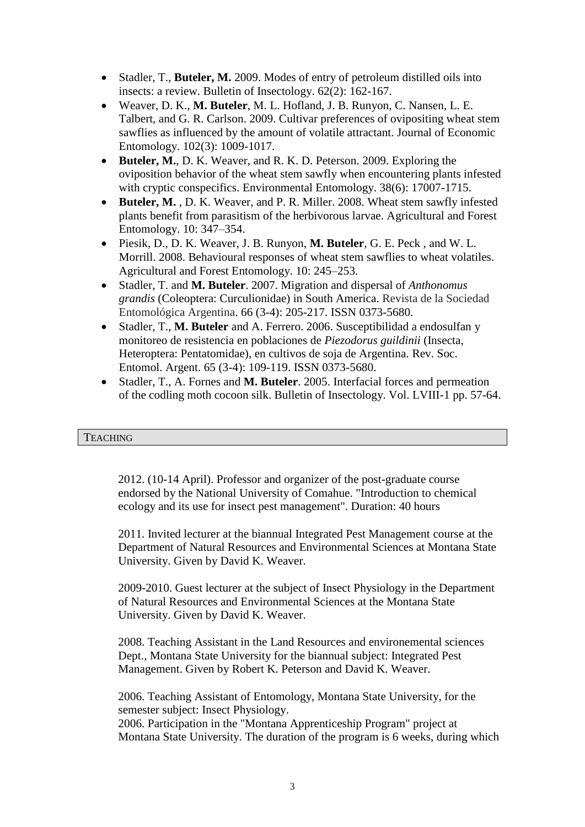- Stadler, T., **Buteler, M.** 2009. Modes of entry of petroleum distilled oils into insects: a review. Bulletin of Insectology. 62(2): 162-167.
- Weaver, D. K., **M. Buteler**, M. L. Hofland, J. B. Runyon, C. Nansen, L. E. Talbert, and G. R. Carlson. 2009. Cultivar preferences of ovipositing wheat stem sawflies as influenced by the amount of volatile attractant. Journal of Economic Entomology. 102(3): 1009-1017.
- **Buteler, M.**, D. K. Weaver, and R. K. D. Peterson. 2009. Exploring the oviposition behavior of the wheat stem sawfly when encountering plants infested with cryptic conspecifics. Environmental Entomology. 38(6): 17007-1715.
- **Buteler, M.** , D. K. Weaver, and P. R. Miller. 2008. Wheat stem sawfly infested plants benefit from parasitism of the herbivorous larvae. Agricultural and Forest Entomology. 10: 347–354.
- Piesik, D., D. K. Weaver, J. B. Runyon, **M. Buteler**, G. E. Peck , and W. L. Morrill. 2008. Behavioural responses of wheat stem sawflies to wheat volatiles. Agricultural and Forest Entomology. 10: 245–253.
- Stadler, T. and **M. Buteler**. 2007. Migration and dispersal of *Anthonomus grandis* (Coleoptera: Curculionidae) in South America. Revista de la Sociedad Entomológica Argentina. 66 (3-4): 205-217. ISSN 0373-5680.
- Stadler, T., **M. Buteler** and A. Ferrero. 2006. Susceptibilidad a endosulfan y monitoreo de resistencia en poblaciones de *Piezodorus guildinii* (Insecta, Heteroptera: Pentatomidae), en cultivos de soja de Argentina. Rev. Soc. Entomol. Argent. 65 (3-4): 109-119. ISSN 0373-5680.
- Stadler, T., A. Fornes and **M. Buteler**. 2005. Interfacial forces and permeation of the codling moth cocoon silk. Bulletin of Insectology. Vol. LVIII-1 pp. 57-64.

# **TEACHING**

2012. (10-14 April). Professor and organizer of the post-graduate course endorsed by the National University of Comahue. "Introduction to chemical ecology and its use for insect pest management". Duration: 40 hours

2011. Invited lecturer at the biannual Integrated Pest Management course at the Department of Natural Resources and Environmental Sciences at Montana State University. Given by David K. Weaver.

2009-2010. Guest lecturer at the subject of Insect Physiology in the Department of Natural Resources and Environmental Sciences at the Montana State University. Given by David K. Weaver.

2008. Teaching Assistant in the Land Resources and environemental sciences Dept., Montana State University for the biannual subject: Integrated Pest Management. Given by Robert K. Peterson and David K. Weaver.

2006. Teaching Assistant of Entomology, Montana State University, for the semester subject: Insect Physiology.

2006. Participation in the "Montana Apprenticeship Program" project at Montana State University. The duration of the program is 6 weeks, during which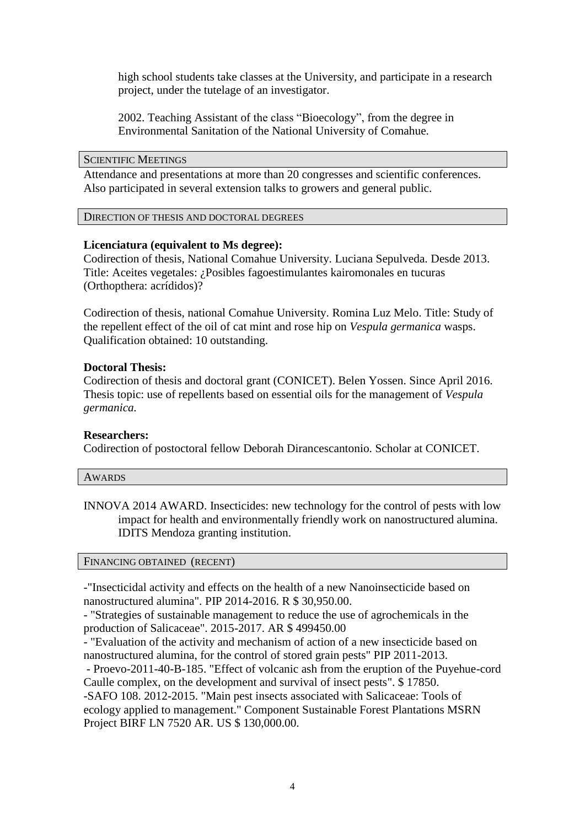high school students take classes at the University, and participate in a research project, under the tutelage of an investigator.

2002. Teaching Assistant of the class "Bioecology", from the degree in Environmental Sanitation of the National University of Comahue.

#### SCIENTIFIC MEETINGS

Attendance and presentations at more than 20 congresses and scientific conferences. Also participated in several extension talks to growers and general public.

#### DIRECTION OF THESIS AND DOCTORAL DEGREES

# **Licenciatura (equivalent to Ms degree):**

Codirection of thesis, National Comahue University. Luciana Sepulveda. Desde 2013. Title: Aceites vegetales: ¿Posibles fagoestimulantes kairomonales en tucuras (Orthopthera: acrídidos)?

Codirection of thesis, national Comahue University. Romina Luz Melo. Title: Study of the repellent effect of the oil of cat mint and rose hip on *Vespula germanica* wasps. Qualification obtained: 10 outstanding.

# **Doctoral Thesis:**

Codirection of thesis and doctoral grant (CONICET). Belen Yossen. Since April 2016. Thesis topic: use of repellents based on essential oils for the management of *Vespula germanica.*

# **Researchers:**

Codirection of postoctoral fellow Deborah Dirancescantonio. Scholar at CONICET.

| AWARDS |  |  |
|--------|--|--|
|        |  |  |

INNOVA 2014 AWARD. Insecticides: new technology for the control of pests with low impact for health and environmentally friendly work on nanostructured alumina. IDITS Mendoza granting institution.

#### FINANCING OBTAINED (RECENT)

-"Insecticidal activity and effects on the health of a new Nanoinsecticide based on nanostructured alumina". PIP 2014-2016. R \$ 30,950.00.

- "Strategies of sustainable management to reduce the use of agrochemicals in the production of Salicaceae". 2015-2017. AR \$ 499450.00

- "Evaluation of the activity and mechanism of action of a new insecticide based on nanostructured alumina, for the control of stored grain pests" PIP 2011-2013.

- Proevo-2011-40-B-185. "Effect of volcanic ash from the eruption of the Puyehue-cord Caulle complex, on the development and survival of insect pests". \$ 17850.

-SAFO 108. 2012-2015. "Main pest insects associated with Salicaceae: Tools of ecology applied to management." Component Sustainable Forest Plantations MSRN Project BIRF LN 7520 AR. US \$ 130,000.00.